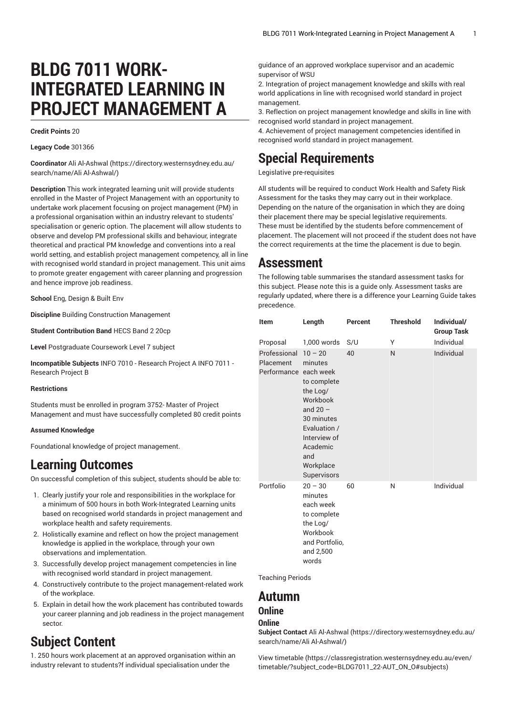# **BLDG 7011 WORK-INTEGRATED LEARNING IN PROJECT MANAGEMENT A**

#### **Credit Points** 20

**Legacy Code** 301366

**Coordinator** [Ali Al-Ashwal](https://directory.westernsydney.edu.au/search/name/Ali Al-Ashwal/) ([https://directory.westernsydney.edu.au/](https://directory.westernsydney.edu.au/search/name/Ali Al-Ashwal/) [search/name/Ali](https://directory.westernsydney.edu.au/search/name/Ali Al-Ashwal/) Al-Ashwal/)

**Description** This work integrated learning unit will provide students enrolled in the Master of Project Management with an opportunity to undertake work placement focusing on project management (PM) in a professional organisation within an industry relevant to students' specialisation or generic option. The placement will allow students to observe and develop PM professional skills and behaviour, integrate theoretical and practical PM knowledge and conventions into a real world setting, and establish project management competency, all in line with recognised world standard in project management. This unit aims to promote greater engagement with career planning and progression and hence improve job readiness.

**School** Eng, Design & Built Env

**Discipline** Building Construction Management

**Student Contribution Band** HECS Band 2 20cp

**Level** Postgraduate Coursework Level 7 subject

**Incompatible Subjects** [INFO 7010](/search/?P=INFO%207010) - Research Project A [INFO 7011](/search/?P=INFO%207011) - Research Project B

#### **Restrictions**

Students must be enrolled in program 3752- Master of Project Management and must have successfully completed 80 credit points

#### **Assumed Knowledge**

Foundational knowledge of project management.

## **Learning Outcomes**

On successful completion of this subject, students should be able to:

- 1. Clearly justify your role and responsibilities in the workplace for a minimum of 500 hours in both Work-Integrated Learning units based on recognised world standards in project management and workplace health and safety requirements.
- 2. Holistically examine and reflect on how the project management knowledge is applied in the workplace, through your own observations and implementation.
- 3. Successfully develop project management competencies in line with recognised world standard in project management.
- 4. Constructively contribute to the project management-related work of the workplace.
- 5. Explain in detail how the work placement has contributed towards your career planning and job readiness in the project management sector.

# **Subject Content**

1. 250 hours work placement at an approved organisation within an industry relevant to students?f individual specialisation under the

guidance of an approved workplace supervisor and an academic supervisor of WSU

2. Integration of project management knowledge and skills with real world applications in line with recognised world standard in project management.

3. Reflection on project management knowledge and skills in line with recognised world standard in project management.

4. Achievement of project management competencies identified in recognised world standard in project management.

## **Special Requirements**

Legislative pre-requisites

All students will be required to conduct Work Health and Safety Risk Assessment for the tasks they may carry out in their workplace. Depending on the nature of the organisation in which they are doing their placement there may be special legislative requirements. These must be identified by the students before commencement of placement. The placement will not proceed if the student does not have the correct requirements at the time the placement is due to begin.

## **Assessment**

The following table summarises the standard assessment tasks for this subject. Please note this is a guide only. Assessment tasks are regularly updated, where there is a difference your Learning Guide takes precedence.

| <b>Item</b>                                                    | Length                                                                                                                                                                                | Percent   | <b>Threshold</b> | Individual/<br><b>Group Task</b> |
|----------------------------------------------------------------|---------------------------------------------------------------------------------------------------------------------------------------------------------------------------------------|-----------|------------------|----------------------------------|
| Proposal<br>Professional<br>Placement<br>Performance each week | 1,000 words<br>$10 - 20$<br>minutes<br>to complete<br>the Log/<br>Workbook<br>and $20 -$<br>30 minutes<br>Evaluation /<br>Interview of<br>Academic<br>and<br>Workplace<br>Supervisors | S/U<br>40 | Υ<br>N           | Individual<br>Individual         |
| Portfolio                                                      | $20 - 30$<br>minutes<br>each week<br>to complete<br>the Log/<br>Workbook<br>and Portfolio,<br>and 2,500<br>words                                                                      | 60        | N                | Individual                       |

Teaching Periods

### **Autumn**

#### **Online**

#### **Online**

**Subject Contact** [Ali Al-Ashwal \(https://directory.westernsydney.edu.au/](https://directory.westernsydney.edu.au/search/name/Ali Al-Ashwal/) [search/name/Ali](https://directory.westernsydney.edu.au/search/name/Ali Al-Ashwal/) Al-Ashwal/)

[View timetable](https://classregistration.westernsydney.edu.au/even/timetable/?subject_code=BLDG7011_22-AUT_ON_O#subjects) [\(https://classregistration.westernsydney.edu.au/even/](https://classregistration.westernsydney.edu.au/even/timetable/?subject_code=BLDG7011_22-AUT_ON_O#subjects) [timetable/?subject\\_code=BLDG7011\\_22-AUT\\_ON\\_O#subjects](https://classregistration.westernsydney.edu.au/even/timetable/?subject_code=BLDG7011_22-AUT_ON_O#subjects))